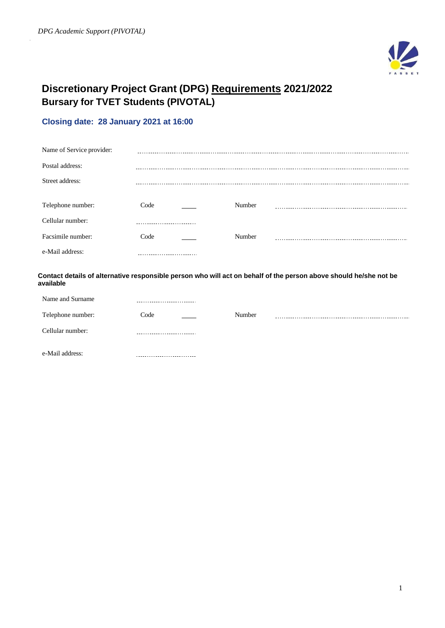

# **Discretionary Project Grant (DPG) Requirements 2021/2022 Bursary for TVET Students (PIVOTAL)**

# **Closing date: 28 January 2021 at 16:00**

| Name of Service provider:             |                           |        |                                                                                                                   |
|---------------------------------------|---------------------------|--------|-------------------------------------------------------------------------------------------------------------------|
| Postal address:                       |                           |        |                                                                                                                   |
| Street address:                       |                           |        |                                                                                                                   |
| Telephone number:<br>Cellular number: | Code                      | Number |                                                                                                                   |
| Facsimile number:                     | Code                      | Number |                                                                                                                   |
| e-Mail address:                       |                           |        |                                                                                                                   |
| available                             |                           |        | Contact details of alternative responsible person who will act on behalf of the person above should he/she not be |
| Name and Surname                      | ------------------------- |        |                                                                                                                   |

| Telephone number: | Code<br>and the company | Number |  |
|-------------------|-------------------------|--------|--|
| Cellular number:  | .                       |        |  |
| e-Mail address:   |                         |        |  |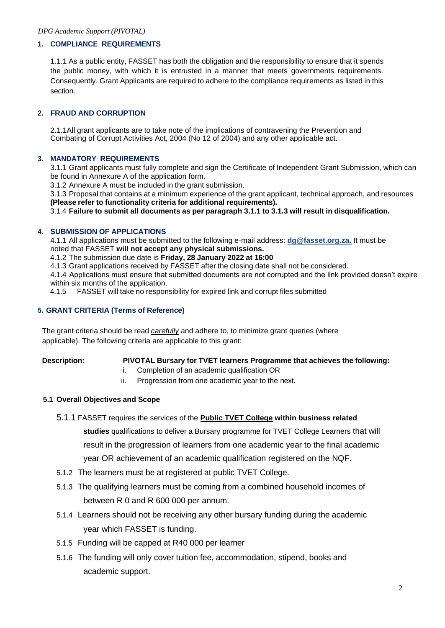#### **1. COMPLIANCE REQUIREMENTS**

1.1.1 As a public entity, FASSET has both the obligation and the responsibility to ensure that it spends the public money, with which it is entrusted in a manner that meets governments requirements. Consequently, Grant Applicants are required to adhere to the compliance requirements as listed in this section.

### **2. FRAUD AND CORRUPTION**

2.1.1All grant applicants are to take note of the implications of contravening the Prevention and Combating of Corrupt Activities Act, 2004 (No 12 of 2004) and any other applicable act.

#### **3. MANDATORY REQUIREMENTS**

3.1.1 Grant applicants must fully complete and sign the Certificate of Independent Grant Submission, which can be found in Annexure A of the application form.

3.1.2 Annexure A must be included in the grant submission.

3.1.3 Proposal that contains at a minimum experience of the grant applicant, technical approach, and resources **(Please refer to functionality criteria for additional requirements).**

3.1.4 **Failure to submit all documents as per paragraph 3.1.1 to 3.1.3 will result in disqualification.**

#### **4. SUBMISSION OF APPLICATIONS**

4.1.1 All applications must be submitted to the following e-mail address: **[dg@fasset.org.za.](mailto:dg@fasset.org.za)** It must be noted that FASSET **will not accept any physical submissions.**

- 4.1.2 The submission due date is **Friday, 28 January 2022 at 16:00**
- 4.1.3 Grant applications received by FASSET after the closing date shall not be considered.

4.1.4 Applications must ensure that submitted documents are not corrupted and the link provided doesn't expire within six months of the application.

4.1.5 FASSET will take no responsibility for expired link and corrupt files submitted

#### **5. GRANT CRITERIA (Terms of Reference)**

The grant criteria should be read *carefully* and adhere to, to minimize grant queries (where applicable). The following criteria are applicable to this grant:

#### **Description: PIVOTAL Bursary for TVET learners Programme that achieves the following:**

- i. Completion of an academic qualification OR
- ii. Progression from one academic year to the next.

#### **5.1 Overall Objectives and Scope**

- 5.1.1 FASSET requires the services of the **Public TVET College within business related studies** qualifications to deliver a Bursary programme for TVET College Learners that will result in the progression of learners from one academic year to the final academic year OR achievement of an academic qualification registered on the NQF.
- 5.1.2 The learners must be at registered at public TVET College.
- 5.1.3 The qualifying learners must be coming from a combined household incomes of between R 0 and R 600 000 per annum.
- 5.1.4 Learners should not be receiving any other bursary funding during the academic year which FASSET is funding.
- 5.1.5 Funding will be capped at R40 000 per learner
- 5.1.6 The funding will only cover tuition fee, accommodation, stipend, books and academic support.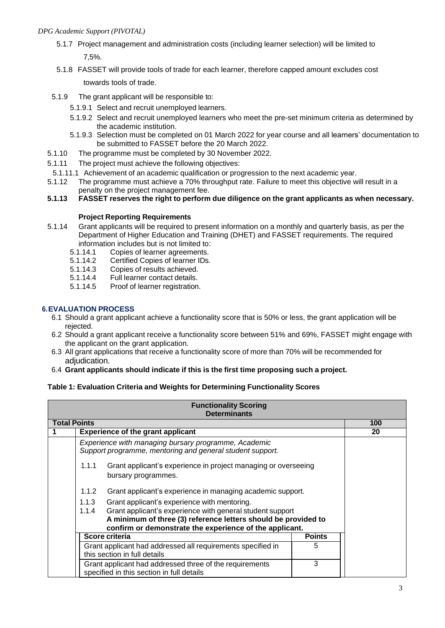5.1.7 Project management and administration costs (including learner selection) will be limited to 7,5%.

5.1.8 FASSET will provide tools of trade for each learner, therefore capped amount excludes cost

towards tools of trade.

- 5.1.9 The grant applicant will be responsible to:
	- 5.1.9.1 Select and recruit unemployed learners.
	- 5.1.9.2 Select and recruit unemployed learners who meet the pre-set minimum criteria as determined by the academic institution.
	- 5.1.9.3 Selection must be completed on 01 March 2022 for year course and all learners' documentation to be submitted to FASSET before the 20 March 2022.
- 5.1.10 The programme must be completed by 30 November 2022.
- 5.1.11 The project must achieve the following objectives:
- 5.1.11.1 Achievement of an academic qualification or progression to the next academic year.
- 5.1.12 The programme must achieve a 70% throughput rate. Failure to meet this objective will result in a penalty on the project management fee.
- **5.1.13 FASSET reserves the right to perform due diligence on the grant applicants as when necessary.**

#### **Project Reporting Requirements**

- 5.1.14 Grant applicants will be required to present information on a monthly and quarterly basis, as per the Department of Higher Education and Training (DHET) and FASSET requirements. The required information includes but is not limited to:<br>5.1.14.1 Copies of learner agreements.
	-
	- 5.1.14.1 Copies of learner agreements.<br>5.1.14.2 Certified Copies of learner IDs. 5.1.14.2 Certified Copies of learner IDs.
	- 5.1.14.3 Copies of results achieved.
	- 5.1.14.4 Full learner contact details.
	- 5.1.14.5 Proof of learner registration.

### **6.EVALUATION PROCESS**

- 6.1 Should a grant applicant achieve a functionality score that is 50% or less, the grant application will be rejected.
- 6.2 Should a grant applicant receive a functionality score between 51% and 69%, FASSET might engage with the applicant on the grant application.
- 6.3 All grant applications that receive a functionality score of more than 70% will be recommended for adiudication.
- 6.4 **Grant applicants should indicate if this is the first time proposing such a project.**

#### **Table 1: Evaluation Criteria and Weights for Determining Functionality Scores**

|                     | <b>Functionality Scoring</b><br><b>Determinants</b>                                                                                                                                                                                                      |                                                                                                                   |  |     |
|---------------------|----------------------------------------------------------------------------------------------------------------------------------------------------------------------------------------------------------------------------------------------------------|-------------------------------------------------------------------------------------------------------------------|--|-----|
| <b>Total Points</b> |                                                                                                                                                                                                                                                          |                                                                                                                   |  | 100 |
|                     |                                                                                                                                                                                                                                                          | <b>Experience of the grant applicant</b>                                                                          |  | 20  |
|                     |                                                                                                                                                                                                                                                          | Experience with managing bursary programme, Academic<br>Support programme, mentoring and general student support. |  |     |
|                     | 1.1.1<br>Grant applicant's experience in project managing or overseeing<br>bursary programmes.                                                                                                                                                           |                                                                                                                   |  |     |
|                     | 1.1.2<br>Grant applicant's experience in managing academic support.                                                                                                                                                                                      |                                                                                                                   |  |     |
|                     | Grant applicant's experience with mentoring.<br>1.1.3<br>Grant applicant's experience with general student support<br>1.1.4<br>A minimum of three (3) reference letters should be provided to<br>confirm or demonstrate the experience of the applicant. |                                                                                                                   |  |     |
|                     | Score criteria<br><b>Points</b>                                                                                                                                                                                                                          |                                                                                                                   |  |     |
|                     | Grant applicant had addressed all requirements specified in<br>5<br>this section in full details                                                                                                                                                         |                                                                                                                   |  |     |
|                     | 3<br>Grant applicant had addressed three of the requirements<br>specified in this section in full details                                                                                                                                                |                                                                                                                   |  |     |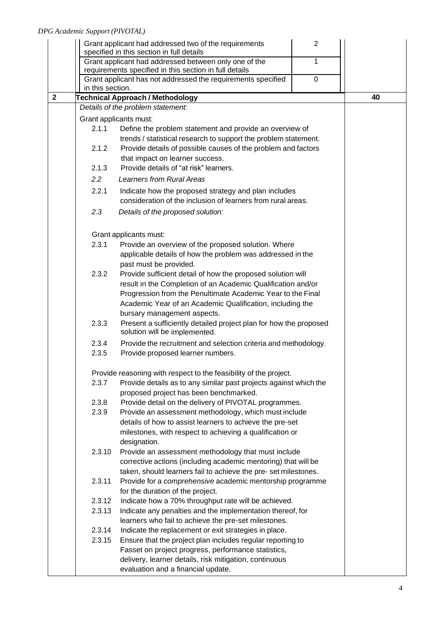|              |                                                                     | Grant applicant had addressed two of the requirements                                                                | $\overline{2}$ |    |
|--------------|---------------------------------------------------------------------|----------------------------------------------------------------------------------------------------------------------|----------------|----|
|              | specified in this section in full details                           |                                                                                                                      |                |    |
|              |                                                                     | Grant applicant had addressed between only one of the<br>requirements specified in this section in full details      | 1              |    |
|              |                                                                     | Grant applicant has not addressed the requirements specified                                                         | $\mathbf 0$    |    |
|              | in this section.                                                    |                                                                                                                      |                |    |
| $\mathbf{2}$ |                                                                     | <b>Technical Approach / Methodology</b>                                                                              |                | 40 |
|              |                                                                     | Details of the problem statement:                                                                                    |                |    |
|              |                                                                     | Grant applicants must:                                                                                               |                |    |
|              | 2.1.1                                                               | Define the problem statement and provide an overview of                                                              |                |    |
|              |                                                                     | trends / statistical research to support the problem statement.                                                      |                |    |
|              | 2.1.2                                                               | Provide details of possible causes of the problem and factors                                                        |                |    |
|              |                                                                     | that impact on learner success.                                                                                      |                |    |
|              | 2.1.3                                                               | Provide details of "at risk" learners.                                                                               |                |    |
|              | $2.2\overline{ }$                                                   | <b>Learners from Rural Areas</b>                                                                                     |                |    |
|              | 2.2.1                                                               | Indicate how the proposed strategy and plan includes<br>consideration of the inclusion of learners from rural areas. |                |    |
|              | 2.3                                                                 | Details of the proposed solution:                                                                                    |                |    |
|              |                                                                     | Grant applicants must:                                                                                               |                |    |
|              | 2.3.1                                                               | Provide an overview of the proposed solution. Where                                                                  |                |    |
|              |                                                                     | applicable details of how the problem was addressed in the                                                           |                |    |
|              |                                                                     | past must be provided.                                                                                               |                |    |
|              | 2.3.2                                                               | Provide sufficient detail of how the proposed solution will                                                          |                |    |
|              |                                                                     | result in the Completion of an Academic Qualification and/or                                                         |                |    |
|              |                                                                     | Progression from the Penultimate Academic Year to the Final                                                          |                |    |
|              |                                                                     | Academic Year of an Academic Qualification, including the                                                            |                |    |
|              |                                                                     | bursary management aspects.                                                                                          |                |    |
|              | 2.3.3                                                               | Present a sufficiently detailed project plan for how the proposed<br>solution will be implemented.                   |                |    |
|              | 2.3.4                                                               | Provide the recruitment and selection criteria and methodology.                                                      |                |    |
|              | 2.3.5                                                               | Provide proposed learner numbers.                                                                                    |                |    |
|              |                                                                     | Provide reasoning with respect to the feasibility of the project.                                                    |                |    |
|              | 2.3.7                                                               | Provide details as to any similar past projects against which the<br>proposed project has been benchmarked.          |                |    |
|              | 2.3.8                                                               | Provide detail on the delivery of PIVOTAL programmes.                                                                |                |    |
|              | 2.3.9                                                               | Provide an assessment methodology, which must include                                                                |                |    |
|              |                                                                     | details of how to assist learners to achieve the pre-set                                                             |                |    |
|              |                                                                     | milestones, with respect to achieving a qualification or<br>designation.                                             |                |    |
|              | 2.3.10                                                              | Provide an assessment methodology that must include                                                                  |                |    |
|              |                                                                     | corrective actions (including academic mentoring) that will be                                                       |                |    |
|              |                                                                     | taken, should learners fail to achieve the pre-set milestones.                                                       |                |    |
|              | 2.3.11<br>Provide for a comprehensive academic mentorship programme |                                                                                                                      |                |    |
|              | for the duration of the project.                                    |                                                                                                                      |                |    |
|              | 2.3.12                                                              | Indicate how a 70% throughput rate will be achieved.                                                                 |                |    |
|              | 2.3.13                                                              | Indicate any penalties and the implementation thereof, for                                                           |                |    |
|              |                                                                     | learners who fail to achieve the pre-set milestones.                                                                 |                |    |
|              | 2.3.14                                                              | Indicate the replacement or exit strategies in place.                                                                |                |    |
|              | 2.3.15                                                              | Ensure that the project plan includes regular reporting to                                                           |                |    |
|              |                                                                     | Fasset on project progress, performance statistics,                                                                  |                |    |
|              |                                                                     | delivery, learner details, risk mitigation, continuous                                                               |                |    |
|              |                                                                     | evaluation and a financial update.                                                                                   |                |    |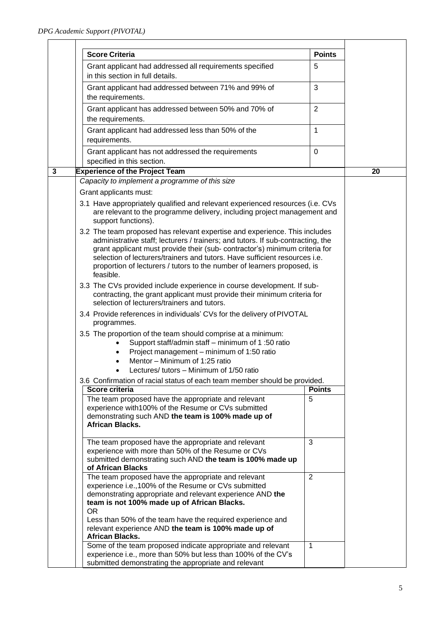|              | <b>Score Criteria</b>                                                                                                                                                                                                                                                                                                                             | <b>Points</b>      |    |
|--------------|---------------------------------------------------------------------------------------------------------------------------------------------------------------------------------------------------------------------------------------------------------------------------------------------------------------------------------------------------|--------------------|----|
|              | Grant applicant had addressed all requirements specified<br>in this section in full details.                                                                                                                                                                                                                                                      | 5                  |    |
|              | Grant applicant had addressed between 71% and 99% of<br>the requirements.                                                                                                                                                                                                                                                                         | 3                  |    |
|              | Grant applicant has addressed between 50% and 70% of<br>the requirements.                                                                                                                                                                                                                                                                         | $\overline{2}$     |    |
|              | Grant applicant had addressed less than 50% of the<br>requirements.                                                                                                                                                                                                                                                                               | $\mathbf{1}$       |    |
|              | Grant applicant has not addressed the requirements<br>specified in this section.                                                                                                                                                                                                                                                                  | $\pmb{0}$          |    |
| $\mathbf{3}$ | <b>Experience of the Project Team</b>                                                                                                                                                                                                                                                                                                             |                    | 20 |
|              | Capacity to implement a programme of this size                                                                                                                                                                                                                                                                                                    |                    |    |
|              | Grant applicants must:                                                                                                                                                                                                                                                                                                                            |                    |    |
|              | 3.1 Have appropriately qualified and relevant experienced resources (i.e. CVs<br>are relevant to the programme delivery, including project management and<br>support functions).<br>3.2 The team proposed has relevant expertise and experience. This includes<br>administrative staff; lecturers / trainers; and tutors. If sub-contracting, the |                    |    |
|              | grant applicant must provide their (sub- contractor's) minimum criteria for<br>selection of lecturers/trainers and tutors. Have sufficient resources i.e.<br>proportion of lecturers / tutors to the number of learners proposed, is<br>feasible.                                                                                                 |                    |    |
|              | 3.3 The CVs provided include experience in course development. If sub-<br>contracting, the grant applicant must provide their minimum criteria for<br>selection of lecturers/trainers and tutors.                                                                                                                                                 |                    |    |
|              | 3.4 Provide references in individuals' CVs for the delivery of PIVOTAL<br>programmes.                                                                                                                                                                                                                                                             |                    |    |
|              | 3.5 The proportion of the team should comprise at a minimum:<br>Support staff/admin staff - minimum of 1:50 ratio<br>Project management - minimum of 1:50 ratio<br>$\bullet$<br>Mentor - Minimum of 1:25 ratio                                                                                                                                    |                    |    |
|              | Lectures/ tutors - Minimum of 1/50 ratio<br>$\bullet$                                                                                                                                                                                                                                                                                             |                    |    |
|              | 3.6 Confirmation of racial status of each team member should be provided.                                                                                                                                                                                                                                                                         |                    |    |
|              | Score criteria<br>The team proposed have the appropriate and relevant<br>experience with 100% of the Resume or CVs submitted                                                                                                                                                                                                                      | <b>Points</b><br>5 |    |
|              | demonstrating such AND the team is 100% made up of<br>African Blacks.                                                                                                                                                                                                                                                                             |                    |    |
|              | The team proposed have the appropriate and relevant<br>experience with more than 50% of the Resume or CVs<br>submitted demonstrating such AND the team is 100% made up<br>of African Blacks                                                                                                                                                       | 3                  |    |
|              | The team proposed have the appropriate and relevant<br>experience i.e., 100% of the Resume or CVs submitted<br>demonstrating appropriate and relevant experience AND the<br>team is not 100% made up of African Blacks.<br>OR.                                                                                                                    | 2                  |    |
|              | Less than 50% of the team have the required experience and<br>relevant experience AND the team is 100% made up of<br>African Blacks.                                                                                                                                                                                                              |                    |    |
|              | Some of the team proposed indicate appropriate and relevant<br>experience i.e., more than 50% but less than 100% of the CV's<br>submitted demonstrating the appropriate and relevant                                                                                                                                                              | $\mathbf 1$        |    |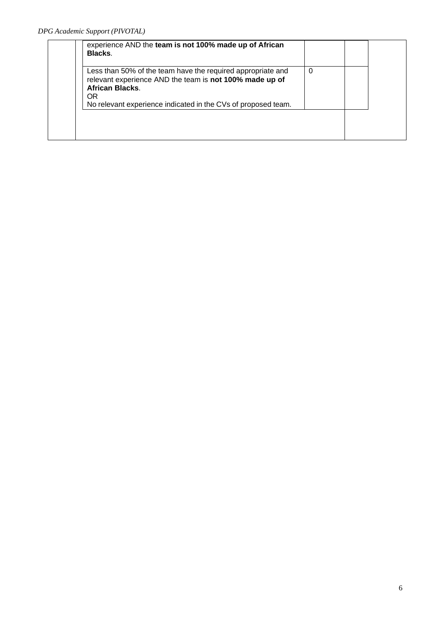| experience AND the team is not 100% made up of African<br>Blacks.                                                                                                                                                        |   |  |
|--------------------------------------------------------------------------------------------------------------------------------------------------------------------------------------------------------------------------|---|--|
| Less than 50% of the team have the required appropriate and<br>relevant experience AND the team is not 100% made up of<br><b>African Blacks.</b><br>OR.<br>No relevant experience indicated in the CVs of proposed team. | 0 |  |
|                                                                                                                                                                                                                          |   |  |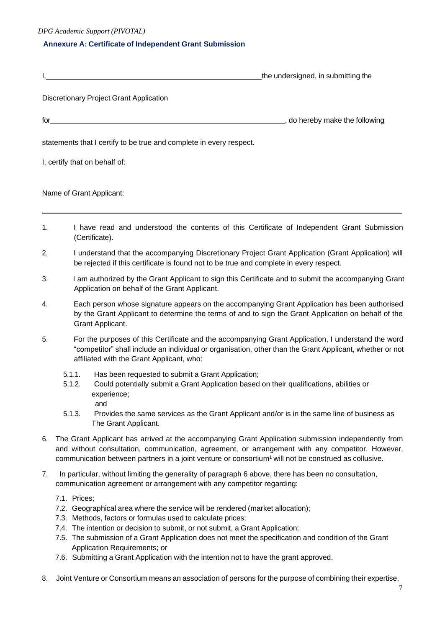*DPG Academic Support (PIVOTAL)*

#### **Annexure A: Certificate of Independent Grant Submission**

|                                                                     | the undersigned, in submitting the |
|---------------------------------------------------------------------|------------------------------------|
| Discretionary Project Grant Application                             |                                    |
|                                                                     | , do hereby make the following     |
| statements that I certify to be true and complete in every respect. |                                    |
| I, certify that on behalf of:                                       |                                    |
| Name of Grant Applicant:                                            |                                    |
|                                                                     |                                    |

- 1. I have read and understood the contents of this Certificate of Independent Grant Submission (Certificate).
- 2. I understand that the accompanying Discretionary Project Grant Application (Grant Application) will be rejected if this certificate is found not to be true and complete in every respect.
- 3. I am authorized by the Grant Applicant to sign this Certificate and to submit the accompanying Grant Application on behalf of the Grant Applicant.
- 4. Each person whose signature appears on the accompanying Grant Application has been authorised by the Grant Applicant to determine the terms of and to sign the Grant Application on behalf of the Grant Applicant.
- 5. For the purposes of this Certificate and the accompanying Grant Application, I understand the word "competitor" shall include an individual or organisation, other than the Grant Applicant, whether or not affiliated with the Grant Applicant, who:
	- 5.1.1. Has been requested to submit a Grant Application;
	- 5.1.2. Could potentially submit a Grant Application based on their qualifications, abilities or experience;
		- and
	- 5.1.3. Provides the same services as the Grant Applicant and/or is in the same line of business as The Grant Applicant.
- 6. The Grant Applicant has arrived at the accompanying Grant Application submission independently from and without consultation, communication, agreement, or arrangement with any competitor. However, communication between partners in a joint venture or consortium<sup>1</sup> will not be construed as collusive.
- 7. In particular, without limiting the generality of paragraph 6 above, there has been no consultation, communication agreement or arrangement with any competitor regarding:
	- 7.1. Prices;
	- 7.2. Geographical area where the service will be rendered (market allocation);
	- 7.3. Methods, factors or formulas used to calculate prices;
	- 7.4. The intention or decision to submit, or not submit, a Grant Application;
	- 7.5. The submission of a Grant Application does not meet the specification and condition of the Grant Application Requirements; or
	- 7.6. Submitting a Grant Application with the intention not to have the grant approved.
- 8. Joint Venture or Consortium means an association of persons for the purpose of combining their expertise,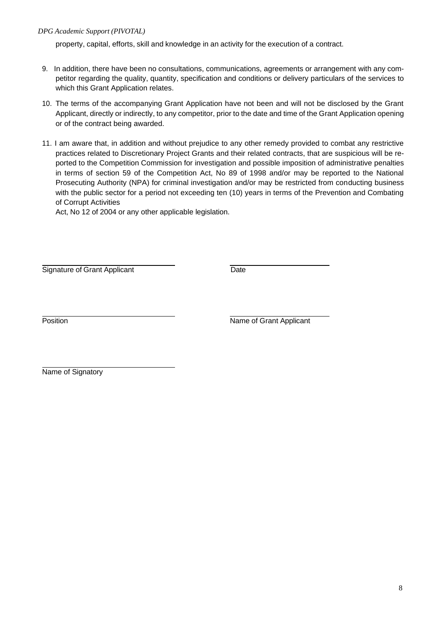*DPG Academic Support (PIVOTAL)*

property, capital, efforts, skill and knowledge in an activity for the execution of a contract.

- 9. In addition, there have been no consultations, communications, agreements or arrangement with any competitor regarding the quality, quantity, specification and conditions or delivery particulars of the services to which this Grant Application relates.
- 10. The terms of the accompanying Grant Application have not been and will not be disclosed by the Grant Applicant, directly or indirectly, to any competitor, prior to the date and time of the Grant Application opening or of the contract being awarded.
- 11. I am aware that, in addition and without prejudice to any other remedy provided to combat any restrictive practices related to Discretionary Project Grants and their related contracts, that are suspicious will be reported to the Competition Commission for investigation and possible imposition of administrative penalties in terms of section 59 of the Competition Act, No 89 of 1998 and/or may be reported to the National Prosecuting Authority (NPA) for criminal investigation and/or may be restricted from conducting business with the public sector for a period not exceeding ten (10) years in terms of the Prevention and Combating of Corrupt Activities

Act, No 12 of 2004 or any other applicable legislation.

Signature of Grant Applicant Date

Position **Name of Grant Applicant** 

Name of Signatory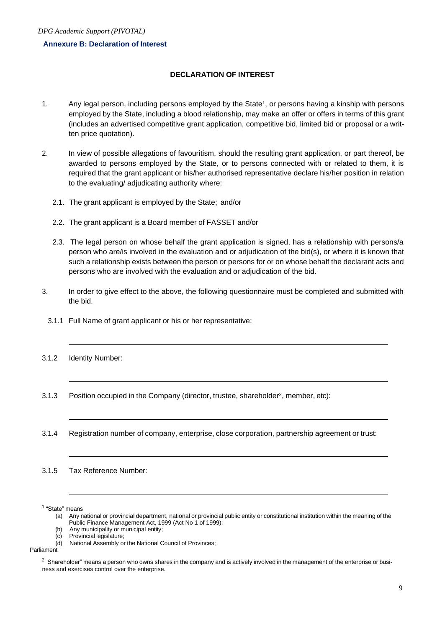#### **Annexure B: Declaration of Interest**

#### **DECLARATION OF INTEREST**

- 1. Any legal person, including persons employed by the State<sup>1</sup>, or persons having a kinship with persons employed by the State, including a blood relationship, may make an offer or offers in terms of this grant (includes an advertised competitive grant application, competitive bid, limited bid or proposal or a written price quotation).
- 2. In view of possible allegations of favouritism, should the resulting grant application, or part thereof, be awarded to persons employed by the State, or to persons connected with or related to them, it is required that the grant applicant or his/her authorised representative declare his/her position in relation to the evaluating/ adjudicating authority where:
	- 2.1. The grant applicant is employed by the State; and/or
	- 2.2. The grant applicant is a Board member of FASSET and/or
	- 2.3. The legal person on whose behalf the grant application is signed, has a relationship with persons/a person who are/is involved in the evaluation and or adjudication of the bid(s), or where it is known that such a relationship exists between the person or persons for or on whose behalf the declarant acts and persons who are involved with the evaluation and or adjudication of the bid.
- 3. In order to give effect to the above, the following questionnaire must be completed and submitted with the bid.
	- 3.1.1 Full Name of grant applicant or his or her representative:
- 3.1.2 Identity Number:
- 3.1.3 Position occupied in the Company (director, trustee, shareholder<sup>2</sup>, member, etc):
- 3.1.4 Registration number of company, enterprise, close corporation, partnership agreement or trust:

3.1.5 Tax Reference Number:

<sup>1</sup> "State" means

- (a) Any national or provincial department, national or provincial public entity or constitutional institution within the meaning of the Public Finance Management Act, 1999 (Act No 1 of 1999);
- (b) Any municipality or municipal entity;<br>(c) Provincial legislature;

(d) National Assembly or the National Council of Provinces;

Parliament

Provincial legislature;

 $2$  Shareholder" means a person who owns shares in the company and is actively involved in the management of the enterprise or business and exercises control over the enterprise.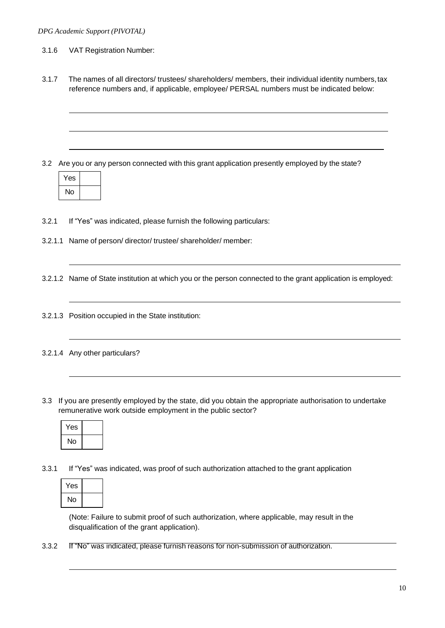#### 3.1.6 VAT Registration Number:

3.1.7 The names of all directors/ trustees/ shareholders/ members, their individual identity numbers,tax reference numbers and, if applicable, employee/ PERSAL numbers must be indicated below:

3.2 Are you or any person connected with this grant application presently employed by the state?

| Yes |  |
|-----|--|
| No  |  |

3.2.1 If "Yes" was indicated, please furnish the following particulars:

3.2.1.1 Name of person/ director/ trustee/ shareholder/ member:

3.2.1.2 Name of State institution at which you or the person connected to the grant application is employed:

- 3.2.1.3 Position occupied in the State institution:
- 3.2.1.4 Any other particulars?
- 3.3 If you are presently employed by the state, did you obtain the appropriate authorisation to undertake remunerative work outside employment in the public sector?

| Yes |  |
|-----|--|
| No  |  |

3.3.1 If "Yes" was indicated, was proof of such authorization attached to the grant application

| Yes |  |
|-----|--|
| No  |  |

(Note: Failure to submit proof of such authorization, where applicable, may result in the disqualification of the grant application).

3.3.2 If "No" was indicated, please furnish reasons for non-submission of authorization.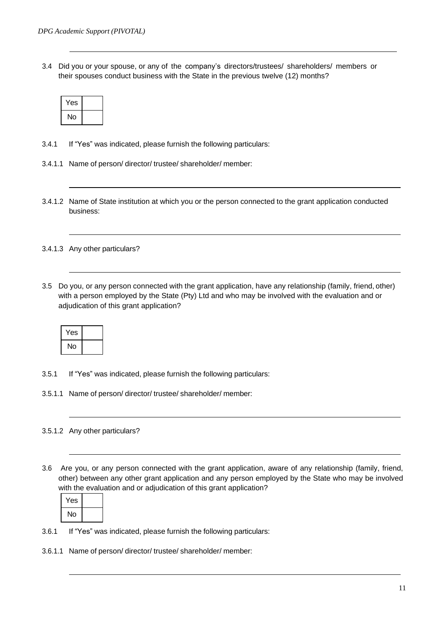3.4 Did you or your spouse, or any of the company's directors/trustees/ shareholders/ members or their spouses conduct business with the State in the previous twelve (12) months?

| Yes |  |
|-----|--|
| No  |  |

- 3.4.1 If "Yes" was indicated, please furnish the following particulars:
- 3.4.1.1 Name of person/ director/ trustee/ shareholder/ member:
- 3.4.1.2 Name of State institution at which you or the person connected to the grant application conducted business:
- 3.4.1.3 Any other particulars?
- 3.5 Do you, or any person connected with the grant application, have any relationship (family, friend, other) with a person employed by the State (Pty) Ltd and who may be involved with the evaluation and or adjudication of this grant application?

| Yes |  |
|-----|--|
| No  |  |

- 3.5.1 If "Yes" was indicated, please furnish the following particulars:
- 3.5.1.1 Name of person/ director/ trustee/ shareholder/ member:
- 3.5.1.2 Any other particulars?
- 3.6 Are you, or any person connected with the grant application, aware of any relationship (family, friend, other) between any other grant application and any person employed by the State who may be involved with the evaluation and or adjudication of this grant application?

| Yes |  |
|-----|--|
| No  |  |

- 3.6.1 If "Yes" was indicated, please furnish the following particulars:
- 3.6.1.1 Name of person/ director/ trustee/ shareholder/ member: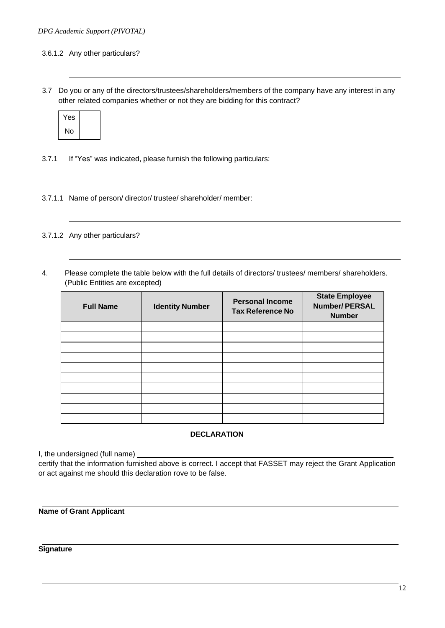#### 3.6.1.2 Any other particulars?

3.7 Do you or any of the directors/trustees/shareholders/members of the company have any interest in any other related companies whether or not they are bidding for this contract?

| Yes |  |
|-----|--|
| No  |  |

- 3.7.1 If "Yes" was indicated, please furnish the following particulars:
- 3.7.1.1 Name of person/ director/ trustee/ shareholder/ member:
- 3.7.1.2 Any other particulars?
- 4. Please complete the table below with the full details of directors/ trustees/ members/ shareholders. (Public Entities are excepted)

| <b>Full Name</b> | <b>Identity Number</b> | <b>Personal Income</b><br><b>Tax Reference No</b> | <b>State Employee</b><br><b>Number/PERSAL</b><br><b>Number</b> |
|------------------|------------------------|---------------------------------------------------|----------------------------------------------------------------|
|                  |                        |                                                   |                                                                |
|                  |                        |                                                   |                                                                |
|                  |                        |                                                   |                                                                |
|                  |                        |                                                   |                                                                |
|                  |                        |                                                   |                                                                |
|                  |                        |                                                   |                                                                |
|                  |                        |                                                   |                                                                |
|                  |                        |                                                   |                                                                |
|                  |                        |                                                   |                                                                |
|                  |                        |                                                   |                                                                |

#### **DECLARATION**

I, the undersigned (full name)

certify that the information furnished above is correct. I accept that FASSET may reject the Grant Application or act against me should this declaration rove to be false.

**Name of Grant Applicant**

**Signature**